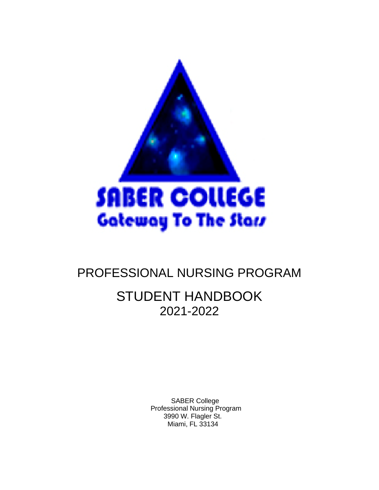

# PROFESSIONAL NURSING PROGRAM

# STUDENT HANDBOOK 2021-2022

 SABER College Professional Nursing Program 3990 W. Flagler St. Miami, FL 33134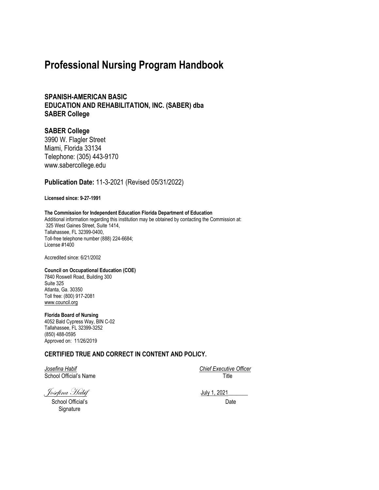## **Professional Nursing Program Handbook**

**SPANISH-AMERICAN BASIC EDUCATION AND REHABILITATION, INC. (SABER) dba SABER College**

#### **SABER College**

3990 W. Flagler Street Miami, Florida 33134 Telephone: (305) 443-9170 www.sabercollege.edu

**Publication Date:** 11-3-2021 (Revised 05/31/2022)

**Licensed since: 9-27-1991**

#### **The Commission for Independent Education Florida Department of Education**

Additional information regarding this institution may be obtained by contacting the Commission at: 325 West Gaines Street, Suite 1414, Tallahassee, FL 32399-0400, Toll-free telephone number (888) 224-6684; License #1400

Accredited since: 6/21/2002

#### **Council on Occupational Education (COE)** 7840 Roswell Road, Building 300 Suite 325 Atlanta, Ga. 30350

Toll free: (800) 917-2081 [www.council.org](http://www.council.org/)

**Florida Board of Nursing** 4052 Bald Cypress Way, BIN C-02

Tallahassee, FL 32399-3252 (850) 488-0595 Approved on: 11/26/2019

#### **CERTIFIED TRUE AND CORRECT IN CONTENT AND POLICY.**

*Josefina Habif Chief Executive Officer* School Official's Name Title

Josefina Habif July 1, 2021\_\_\_\_\_\_\_

School Official's Date **Signature**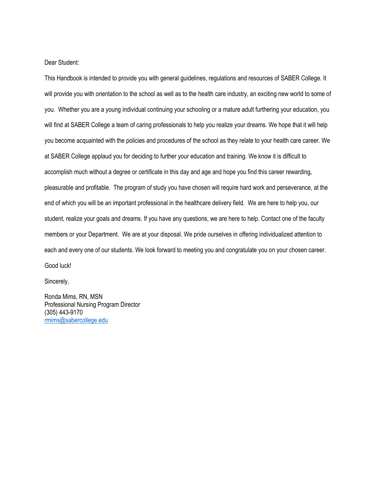Dear Student:

This Handbook is intended to provide you with general guidelines, regulations and resources of SABER College. It will provide you with orientation to the school as well as to the health care industry, an exciting new world to some of you. Whether you are a young individual continuing your schooling or a mature adult furthering your education, you will find at SABER College a team of caring professionals to help you realize your dreams. We hope that it will help you become acquainted with the policies and procedures of the school as they relate to your health care career. We at SABER College applaud you for deciding to further your education and training. We know it is difficult to accomplish much without a degree or certificate in this day and age and hope you find this career rewarding, pleasurable and profitable. The program of study you have chosen will require hard work and perseverance, at the end of which you will be an important professional in the healthcare delivery field. We are here to help you, our student, realize your goals and dreams. If you have any questions, we are here to help. Contact one of the faculty members or your Department. We are at your disposal. We pride ourselves in offering individualized attention to each and every one of our students. We look forward to meeting you and congratulate you on your chosen career. Good luck!

Sincerely,

Ronda Mims, RN, MSN Professional Nursing Program Director (305) 443-9170 [rmims@sabercollege.edu](mailto:rmims@sabercollege.edu)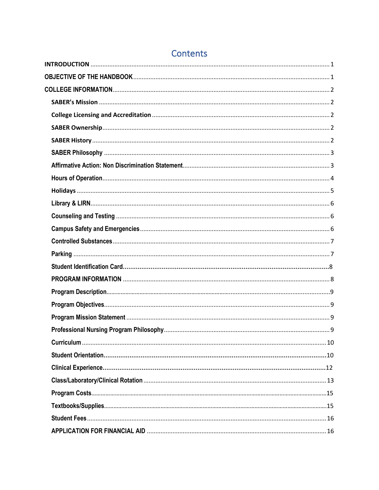# Contents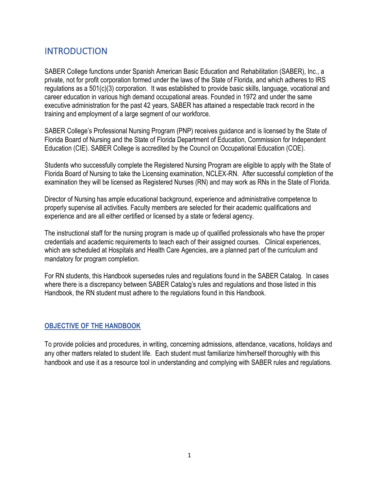## <span id="page-11-0"></span>**INTRODUCTION**

SABER College functions under Spanish American Basic Education and Rehabilitation (SABER), Inc., a private, not for profit corporation formed under the laws of the State of Florida, and which adheres to IRS regulations as a 501(c)(3) corporation. It was established to provide basic skills, language, vocational and career education in various high demand occupational areas. Founded in 1972 and under the same executive administration for the past 42 years, SABER has attained a respectable track record in the training and employment of a large segment of our workforce.

SABER College's Professional Nursing Program (PNP) receives guidance and is licensed by the State of Florida Board of Nursing and the State of Florida Department of Education, Commission for Independent Education (CIE). SABER College is accredited by the Council on Occupational Education (COE).

Students who successfully complete the Registered Nursing Program are eligible to apply with the State of Florida Board of Nursing to take the Licensing examination, NCLEX-RN. After successful completion of the examination they will be licensed as Registered Nurses (RN) and may work as RNs in the State of Florida.

Director of Nursing has ample educational background, experience and administrative competence to properly supervise all activities. Faculty members are selected for their academic qualifications and experience and are all either certified or licensed by a state or federal agency.

The instructional staff for the nursing program is made up of qualified professionals who have the proper credentials and academic requirements to teach each of their assigned courses. Clinical experiences, which are scheduled at Hospitals and Health Care Agencies, are a planned part of the curriculum and mandatory for program completion.

For RN students, this Handbook supersedes rules and regulations found in the SABER Catalog. In cases where there is a discrepancy between SABER Catalog's rules and regulations and those listed in this Handbook, the RN student must adhere to the regulations found in this Handbook.

## <span id="page-11-1"></span>**OBJECTIVE OF THE HANDBOOK**

To provide policies and procedures, in writing, concerning admissions, attendance, vacations, holidays and any other matters related to student life. Each student must familiarize him/herself thoroughly with this handbook and use it as a resource tool in understanding and complying with SABER rules and regulations.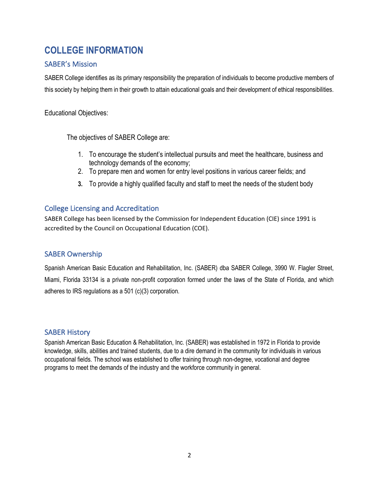## <span id="page-12-0"></span>**COLLEGE INFORMATION**

## <span id="page-12-1"></span>SABER's Mission

SABER College identifies as its primary responsibility the preparation of individuals to become productive members of this society by helping them in their growth to attain educational goals and their development of ethical responsibilities.

Educational Objectives:

The objectives of SABER College are:

- 1. To encourage the student's intellectual pursuits and meet the healthcare, business and technology demands of the economy;
- 2. To prepare men and women for entry level positions in various career fields; and
- **3.** To provide a highly qualified faculty and staff to meet the needs of the student body

## <span id="page-12-2"></span>College Licensing and Accreditation

SABER College has been licensed by the Commission for Independent Education (CIE) since 1991 is accredited by the Council on Occupational Education (COE).

## <span id="page-12-3"></span>SABER Ownership

Spanish American Basic Education and Rehabilitation, Inc. (SABER) dba SABER College, 3990 W. Flagler Street, Miami, Florida 33134 is a private non-profit corporation formed under the laws of the State of Florida, and which adheres to IRS regulations as a 501 (c)(3) corporation.

## <span id="page-12-4"></span>SABER History

Spanish American Basic Education & Rehabilitation, Inc. (SABER) was established in 1972 in Florida to provide knowledge, skills, abilities and trained students, due to a dire demand in the community for individuals in various occupational fields. The school was established to offer training through non-degree, vocational and degree programs to meet the demands of the industry and the workforce community in general.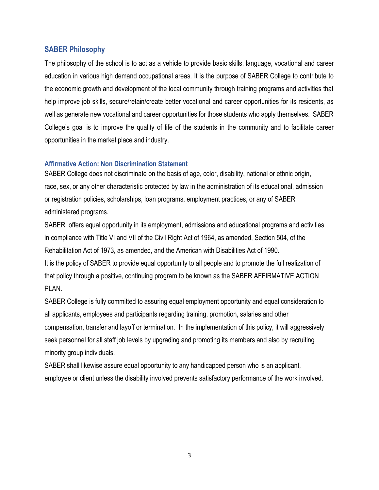## <span id="page-13-0"></span>**SABER Philosophy**

The philosophy of the school is to act as a vehicle to provide basic skills, language, vocational and career education in various high demand occupational areas. It is the purpose of SABER College to contribute to the economic growth and development of the local community through training programs and activities that help improve job skills, secure/retain/create better vocational and career opportunities for its residents, as well as generate new vocational and career opportunities for those students who apply themselves. SABER College's goal is to improve the quality of life of the students in the community and to facilitate career opportunities in the market place and industry.

#### <span id="page-13-1"></span>**Affirmative Action: Non Discrimination Statement**

SABER College does not discriminate on the basis of age, color, disability, national or ethnic origin, race, sex, or any other characteristic protected by law in the administration of its educational, admission or registration policies, scholarships, loan programs, employment practices, or any of SABER administered programs.

SABER offers equal opportunity in its employment, admissions and educational programs and activities in compliance with Title VI and VII of the Civil Right Act of 1964, as amended, Section 504, of the Rehabilitation Act of 1973, as amended, and the American with Disabilities Act of 1990.

It is the policy of SABER to provide equal opportunity to all people and to promote the full realization of that policy through a positive, continuing program to be known as the SABER AFFIRMATIVE ACTION PLAN.

SABER College is fully committed to assuring equal employment opportunity and equal consideration to all applicants, employees and participants regarding training, promotion, salaries and other compensation, transfer and layoff or termination. In the implementation of this policy, it will aggressively seek personnel for all staff job levels by upgrading and promoting its members and also by recruiting minority group individuals.

SABER shall likewise assure equal opportunity to any handicapped person who is an applicant, employee or client unless the disability involved prevents satisfactory performance of the work involved.

3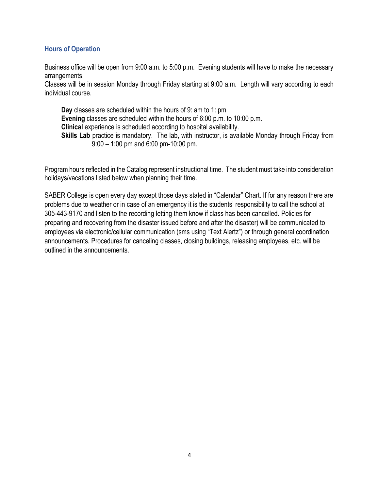## <span id="page-14-0"></span>**Hours of Operation**

Business office will be open from 9:00 a.m. to 5:00 p.m. Evening students will have to make the necessary arrangements.

Classes will be in session Monday through Friday starting at 9:00 a.m. Length will vary according to each individual course.

**Day** classes are scheduled within the hours of 9: am to 1: pm **Evening** classes are scheduled within the hours of 6:00 p.m. to 10:00 p.m. **Clinical** experience is scheduled according to hospital availability. **Skills Lab** practice is mandatory. The lab, with instructor, is available Monday through Friday from 9:00 – 1:00 pm and 6:00 pm-10:00 pm.

Program hours reflected in the Catalog represent instructional time. The student must take into consideration holidays/vacations listed below when planning their time.

SABER College is open every day except those days stated in "Calendar" Chart. If for any reason there are problems due to weather or in case of an emergency it is the students' responsibility to call the school at 305-443-9170 and listen to the recording letting them know if class has been cancelled. Policies for preparing and recovering from the disaster issued before and after the disaster) will be communicated to employees via electronic/cellular communication (sms using "Text Alertz") or through general coordination announcements. Procedures for canceling classes, closing buildings, releasing employees, etc. will be outlined in the announcements.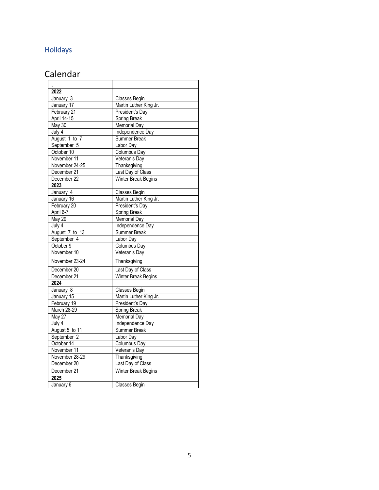## <span id="page-15-0"></span>Holidays

## Calendar

| 2022                |                        |
|---------------------|------------------------|
| January 3           | Classes Begin          |
| January 17          | Martin Luther King Jr. |
| February 21         | President's Day        |
| April 14-15         | Spring Break           |
| May 30              | <b>Memorial Day</b>    |
| July $\overline{4}$ | Independence Day       |
| August 1 to 7       | Summer Break           |
| September 5         | Labor Day              |
| October 10          | Columbus Day           |
| November 11         | Veteran's Day          |
| November 24-25      | Thanksgiving           |
| December 21         | Last Day of Class      |
| December 22         | Winter Break Begins    |
| 2023                |                        |
| January 4           | Classes Begin          |
| January 16          | Martin Luther King Jr. |
| February 20         | President's Day        |
| April 6-7           | Spring Break           |
| May 29              | <b>Memorial Day</b>    |
| July 4              | Independence Day       |
| August 7 to 13      | Summer Break           |
| September 4         | Labor Day              |
| October 9           | Columbus Day           |
| November 10         | Veteran's Day          |
| November 23-24      | Thanksgiving           |
| December 20         | Last Day of Class      |
| December 21         | Winter Break Begins    |
| 2024                |                        |
| January 8           | Classes Begin          |
| January 15          | Martin Luther King Jr. |
| February 19         | President's Day        |
| March 28-29         | Spring Break           |
| May 27              | <b>Memorial Day</b>    |
| July 4              | Independence Day       |
| August 5 to 11      | Summer Break           |
| September 2         | Labor Day              |
| October 14          | Columbus Day           |
| November 11         | Veteran's Day          |
| November 28-29      | Thanksgiving           |
| December 20         | Last Day of Class      |
| December 21         | Winter Break Begins    |
| 2025                |                        |
| January 6           | Classes Begin          |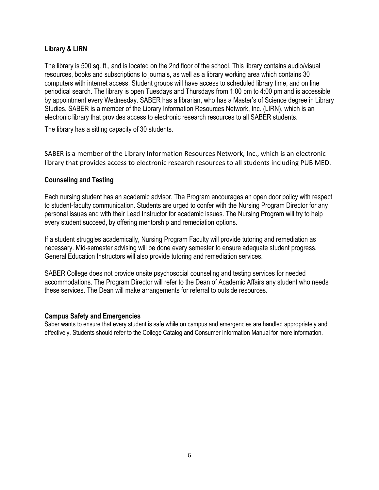## <span id="page-16-0"></span>**Library & LIRN**

The library is 500 sq. ft., and is located on the 2nd floor of the school. This library contains audio/visual resources, books and subscriptions to journals, as well as a library working area which contains 30 computers with internet access. Student groups will have access to scheduled library time, and on line periodical search. The library is open Tuesdays and Thursdays from 1:00 pm to 4:00 pm and is accessible by appointment every Wednesday. SABER has a librarian, who has a Master's of Science degree in Library Studies. SABER is a member of the Library Information Resources Network, Inc. (LIRN), which is an electronic library that provides access to electronic research resources to all SABER students.

The library has a sitting capacity of 30 students.

SABER is a member of the Library Information Resources Network, Inc., which is an electronic library that provides access to electronic research resources to all students including PUB MED.

## <span id="page-16-1"></span>**Counseling and Testing**

Each nursing student has an academic advisor. The Program encourages an open door policy with respect to student-faculty communication. Students are urged to confer with the Nursing Program Director for any personal issues and with their Lead Instructor for academic issues. The Nursing Program will try to help every student succeed, by offering mentorship and remediation options.

If a student struggles academically, Nursing Program Faculty will provide tutoring and remediation as necessary. Mid-semester advising will be done every semester to ensure adequate student progress. General Education Instructors will also provide tutoring and remediation services.

SABER College does not provide onsite psychosocial counseling and testing services for needed accommodations. The Program Director will refer to the Dean of Academic Affairs any student who needs these services. The Dean will make arrangements for referral to outside resources.

## <span id="page-16-2"></span>**Campus Safety and Emergencies**

Saber wants to ensure that every student is safe while on campus and emergencies are handled appropriately and effectively. Students should refer to the College Catalog and Consumer Information Manual for more information.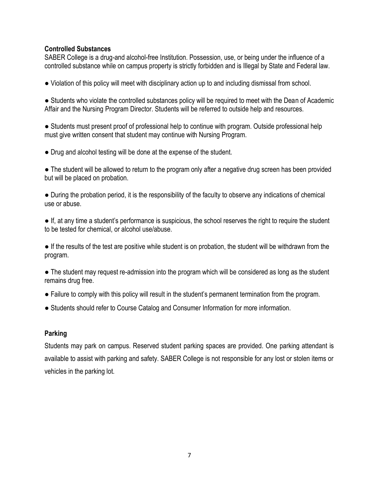#### <span id="page-17-0"></span>**Controlled Substances**

SABER College is a drug-and alcohol-free Institution. Possession, use, or being under the influence of a controlled substance while on campus property is strictly forbidden and is Illegal by State and Federal law.

● Violation of this policy will meet with disciplinary action up to and including dismissal from school.

● Students who violate the controlled substances policy will be required to meet with the Dean of Academic Affair and the Nursing Program Director. Students will be referred to outside help and resources.

• Students must present proof of professional help to continue with program. Outside professional help must give written consent that student may continue with Nursing Program.

• Drug and alcohol testing will be done at the expense of the student.

• The student will be allowed to return to the program only after a negative drug screen has been provided but will be placed on probation.

● During the probation period, it is the responsibility of the faculty to observe any indications of chemical use or abuse.

● If, at any time a student's performance is suspicious, the school reserves the right to require the student to be tested for chemical, or alcohol use/abuse.

● If the results of the test are positive while student is on probation, the student will be withdrawn from the program.

• The student may request re-admission into the program which will be considered as long as the student remains drug free.

- Failure to comply with this policy will result in the student's permanent termination from the program.
- Students should refer to Course Catalog and Consumer Information for more information.

## <span id="page-17-1"></span>**Parking**

Students may park on campus. Reserved student parking spaces are provided. One parking attendant is available to assist with parking and safety. SABER College is not responsible for any lost or stolen items or vehicles in the parking lot.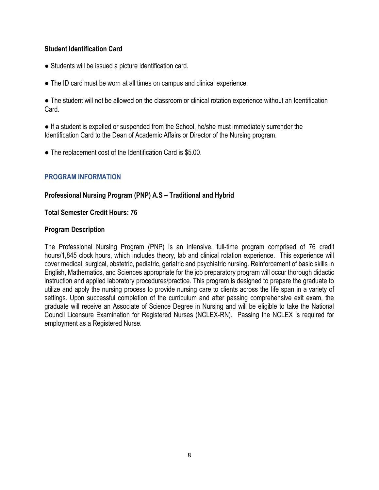## <span id="page-18-0"></span>**Student Identification Card**

- Students will be issued a picture identification card.
- The ID card must be worn at all times on campus and clinical experience.

● The student will not be allowed on the classroom or clinical rotation experience without an Identification Card.

• If a student is expelled or suspended from the School, he/she must immediately surrender the Identification Card to the Dean of Academic Affairs or Director of the Nursing program.

• The replacement cost of the Identification Card is \$5.00.

## <span id="page-18-1"></span>**PROGRAM INFORMATION**

## **Professional Nursing Program (PNP) A.S – Traditional and Hybrid**

## **Total Semester Credit Hours: 76**

## **Program Description**

The Professional Nursing Program (PNP) is an intensive, full-time program comprised of 76 credit hours/1,845 clock hours, which includes theory, lab and clinical rotation experience. This experience will cover medical, surgical, obstetric, pediatric, geriatric and psychiatric nursing. Reinforcement of basic skills in English, Mathematics, and Sciences appropriate for the job preparatory program will occur thorough didactic instruction and applied laboratory procedures/practice. This program is designed to prepare the graduate to utilize and apply the nursing process to provide nursing care to clients across the life span in a variety of settings. Upon successful completion of the curriculum and after passing comprehensive exit exam, the graduate will receive an Associate of Science Degree in Nursing and will be eligible to take the National Council Licensure Examination for Registered Nurses (NCLEX-RN). Passing the NCLEX is required for employment as a Registered Nurse.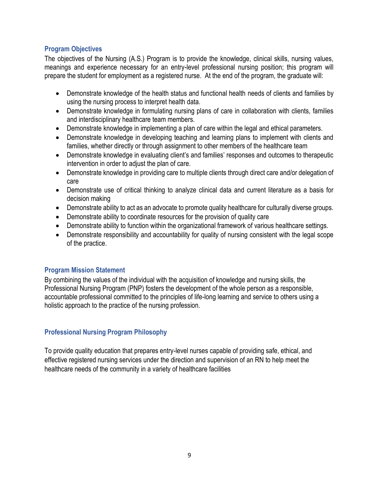## <span id="page-19-0"></span>**Program Objectives**

The objectives of the Nursing (A.S.) Program is to provide the knowledge, clinical skills, nursing values, meanings and experience necessary for an entry-level professional nursing position; this program will prepare the student for employment as a registered nurse. At the end of the program, the graduate will:

- Demonstrate knowledge of the health status and functional health needs of clients and families by using the nursing process to interpret health data.
- Demonstrate knowledge in formulating nursing plans of care in collaboration with clients, families and interdisciplinary healthcare team members.
- Demonstrate knowledge in implementing a plan of care within the legal and ethical parameters.
- Demonstrate knowledge in developing teaching and learning plans to implement with clients and families, whether directly or through assignment to other members of the healthcare team
- Demonstrate knowledge in evaluating client's and families' responses and outcomes to therapeutic intervention in order to adjust the plan of care.
- Demonstrate knowledge in providing care to multiple clients through direct care and/or delegation of care
- Demonstrate use of critical thinking to analyze clinical data and current literature as a basis for decision making
- Demonstrate ability to act as an advocate to promote quality healthcare for culturally diverse groups.
- Demonstrate ability to coordinate resources for the provision of quality care
- Demonstrate ability to function within the organizational framework of various healthcare settings.
- Demonstrate responsibility and accountability for quality of nursing consistent with the legal scope of the practice.

## <span id="page-19-1"></span>**Program Mission Statement**

By combining the values of the individual with the acquisition of knowledge and nursing skills, the Professional Nursing Program (PNP) fosters the development of the whole person as a responsible, accountable professional committed to the principles of life-long learning and service to others using a holistic approach to the practice of the nursing profession.

## <span id="page-19-2"></span>**Professional Nursing Program Philosophy**

To provide quality education that prepares entry-level nurses capable of providing safe, ethical, and effective registered nursing services under the direction and supervision of an RN to help meet the healthcare needs of the community in a variety of healthcare facilities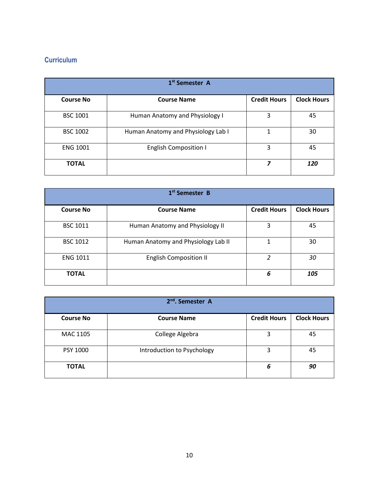## <span id="page-20-1"></span><span id="page-20-0"></span>**Curriculum**

| 1 <sup>st</sup> Semester A |                                    |                     |                    |
|----------------------------|------------------------------------|---------------------|--------------------|
| <b>Course No</b>           | <b>Course Name</b>                 | <b>Credit Hours</b> | <b>Clock Hours</b> |
| <b>BSC 1001</b>            | Human Anatomy and Physiology I     | 3                   | 45                 |
| <b>BSC 1002</b>            | Human Anatomy and Physiology Lab I | 1                   | 30                 |
| <b>ENG 1001</b>            | <b>English Composition I</b>       | 3                   | 45                 |
| <b>TOTAL</b>               |                                    | 7                   | 120                |

| 1 <sup>st</sup> Semester B |                                     |                     |                    |
|----------------------------|-------------------------------------|---------------------|--------------------|
| <b>Course No</b>           | <b>Course Name</b>                  | <b>Credit Hours</b> | <b>Clock Hours</b> |
| <b>BSC 1011</b>            | Human Anatomy and Physiology II     | 3                   | 45                 |
| <b>BSC 1012</b>            | Human Anatomy and Physiology Lab II | 1                   | 30                 |
| <b>ENG 1011</b>            | <b>English Composition II</b>       | $\mathcal{P}$       | 30                 |
| <b>TOTAL</b>               |                                     | 6                   | 105                |

|                  | 2 <sup>nd</sup> , Semester A |                     |                    |
|------------------|------------------------------|---------------------|--------------------|
| <b>Course No</b> | <b>Course Name</b>           | <b>Credit Hours</b> | <b>Clock Hours</b> |
| MAC 1105         | College Algebra              | 3                   | 45                 |
| PSY 1000         | Introduction to Psychology   | 3                   | 45                 |
| <b>TOTAL</b>     |                              | 6                   | 90                 |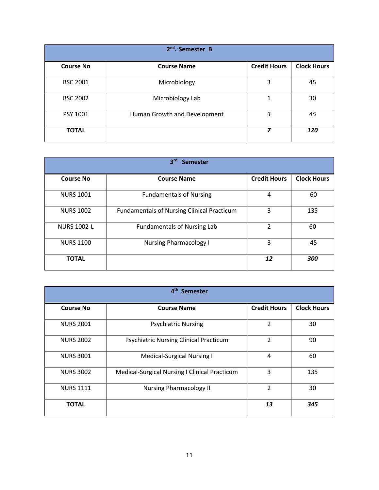| $2nd$ . Semester B |                              |                     |                    |
|--------------------|------------------------------|---------------------|--------------------|
| <b>Course No</b>   | <b>Course Name</b>           | <b>Credit Hours</b> | <b>Clock Hours</b> |
| <b>BSC 2001</b>    | Microbiology                 | 3                   | 45                 |
| <b>BSC 2002</b>    | Microbiology Lab             | 1                   | 30                 |
| PSY 1001           | Human Growth and Development | 3                   | 45                 |
| <b>TOTAL</b>       |                              | 7                   | 120                |

| 3 <sup>rd</sup><br><b>Semester</b> |                                                   |                     |                    |  |
|------------------------------------|---------------------------------------------------|---------------------|--------------------|--|
| <b>Course No</b>                   | <b>Course Name</b>                                | <b>Credit Hours</b> | <b>Clock Hours</b> |  |
| <b>NURS 1001</b>                   | <b>Fundamentals of Nursing</b>                    | 4                   | 60                 |  |
| <b>NURS 1002</b>                   | <b>Fundamentals of Nursing Clinical Practicum</b> | 3                   | 135                |  |
| <b>NURS 1002-L</b>                 | <b>Fundamentals of Nursing Lab</b>                | $\overline{2}$      | 60                 |  |
| <b>NURS 1100</b>                   | <b>Nursing Pharmacology I</b>                     | 3                   | 45                 |  |
| <b>TOTAL</b>                       |                                                   | 12                  | 300                |  |

| 4 <sup>th</sup><br><b>Semester</b> |                                               |                     |                    |
|------------------------------------|-----------------------------------------------|---------------------|--------------------|
| <b>Course No</b>                   | <b>Course Name</b>                            | <b>Credit Hours</b> | <b>Clock Hours</b> |
| <b>NURS 2001</b>                   | <b>Psychiatric Nursing</b>                    | $\overline{2}$      | 30                 |
| <b>NURS 2002</b>                   | <b>Psychiatric Nursing Clinical Practicum</b> | $\overline{2}$      | 90                 |
| <b>NURS 3001</b>                   | <b>Medical-Surgical Nursing I</b>             | 4                   | 60                 |
| <b>NURS 3002</b>                   | Medical-Surgical Nursing I Clinical Practicum | 3                   | 135                |
| <b>NURS 1111</b>                   | <b>Nursing Pharmacology II</b>                | $\overline{2}$      | 30                 |
| <b>TOTAL</b>                       |                                               | 13                  | 345                |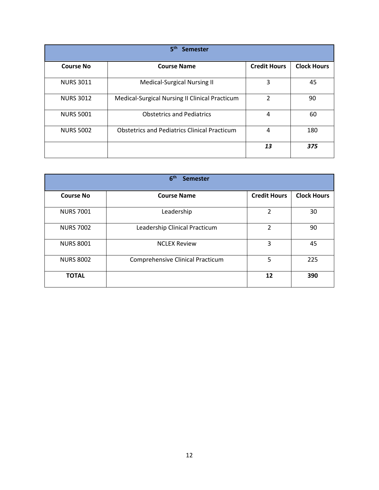<span id="page-22-0"></span>

| 5 <sup>th</sup><br><b>Semester</b> |                                                     |                     |                    |
|------------------------------------|-----------------------------------------------------|---------------------|--------------------|
| <b>Course No</b>                   | <b>Course Name</b>                                  | <b>Credit Hours</b> | <b>Clock Hours</b> |
| <b>NURS 3011</b>                   | Medical-Surgical Nursing II                         | 3                   | 45                 |
| <b>NURS 3012</b>                   | Medical-Surgical Nursing II Clinical Practicum      | $\overline{2}$      | 90                 |
| <b>NURS 5001</b>                   | <b>Obstetrics and Pediatrics</b>                    | 4                   | 60                 |
| <b>NURS 5002</b>                   | <b>Obstetrics and Pediatrics Clinical Practicum</b> | 4                   | 180                |
|                                    |                                                     | 13                  | 375                |

| 6 <sup>th</sup><br><b>Semester</b> |                                  |                     |                    |
|------------------------------------|----------------------------------|---------------------|--------------------|
| <b>Course No</b>                   | <b>Course Name</b>               | <b>Credit Hours</b> | <b>Clock Hours</b> |
| <b>NURS 7001</b>                   | Leadership                       | 2                   | 30                 |
| <b>NURS 7002</b>                   | Leadership Clinical Practicum    | $\overline{2}$      | 90                 |
| <b>NURS 8001</b>                   | <b>NCLEX Review</b>              | 3                   | 45                 |
| <b>NURS 8002</b>                   | Comprehensive Clinical Practicum | 5                   | 225                |
| <b>TOTAL</b>                       |                                  | 12                  | 390                |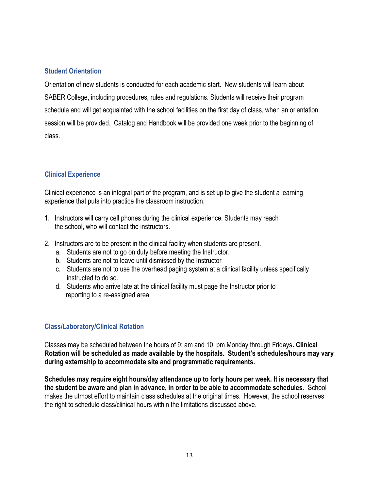## <span id="page-23-0"></span>**Student Orientation**

Orientation of new students is conducted for each academic start. New students will learn about SABER College, including procedures, rules and regulations. Students will receive their program schedule and will get acquainted with the school facilities on the first day of class, when an orientation session will be provided. Catalog and Handbook will be provided one week prior to the beginning of class.

## **Clinical Experience**

Clinical experience is an integral part of the program, and is set up to give the student a learning experience that puts into practice the classroom instruction.

- 1. Instructors will carry cell phones during the clinical experience. Students may reach the school, who will contact the instructors.
- 2. Instructors are to be present in the clinical facility when students are present.
	- a. Students are not to go on duty before meeting the Instructor.
	- b. Students are not to leave until dismissed by the Instructor
	- c. Students are not to use the overhead paging system at a clinical facility unless specifically instructed to do so.
	- d. Students who arrive late at the clinical facility must page the Instructor prior to reporting to a re-assigned area.

## **Class/Laboratory/Clinical Rotation**

Classes may be scheduled between the hours of 9: am and 10: pm Monday through Fridays**. Clinical Rotation will be scheduled as made available by the hospitals. Student's schedules/hours may vary during externship to accommodate site and programmatic requirements.** 

**Schedules may require eight hours/day attendance up to forty hours per week. It is necessary that the student be aware and plan in advance, in order to be able to accommodate schedules.** School makes the utmost effort to maintain class schedules at the original times. However, the school reserves the right to schedule class/clinical hours within the limitations discussed above.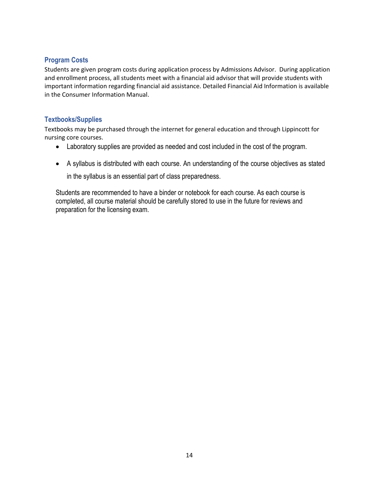## **Program Costs**

Students are given program costs during application process by Admissions Advisor. During application and enrollment process, all students meet with a financial aid advisor that will provide students with important information regarding financial aid assistance. Detailed Financial Aid Information is available in the Consumer Information Manual.

#### **Textbooks/Supplies**

Textbooks may be purchased through the internet for general education and through Lippincott for nursing core courses.

- Laboratory supplies are provided as needed and cost included in the cost of the program.
- A syllabus is distributed with each course. An understanding of the course objectives as stated

in the syllabus is an essential part of class preparedness.

Students are recommended to have a binder or notebook for each course. As each course is completed, all course material should be carefully stored to use in the future for reviews and preparation for the licensing exam.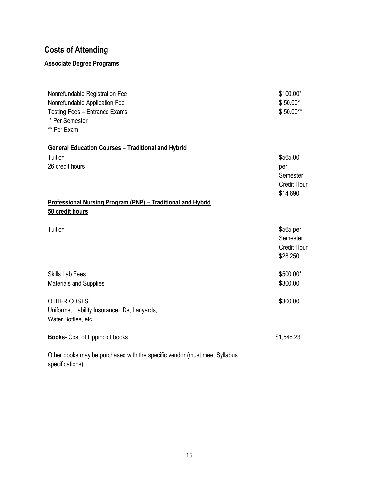## **Costs of Attending**

## **Associate Degree Programs**

| Nonrefundable Registration Fee<br>Nonrefundable Application Fee<br>Testing Fees - Entrance Exams<br>* Per Semester<br>** Per Exam | \$100.00*<br>$$50.00*$<br>\$50.00**                           |
|-----------------------------------------------------------------------------------------------------------------------------------|---------------------------------------------------------------|
| <b>General Education Courses - Traditional and Hybrid</b>                                                                         |                                                               |
| Tuition<br>26 credit hours                                                                                                        | \$565.00<br>per<br>Semester<br><b>Credit Hour</b><br>\$14,690 |
| Professional Nursing Program (PNP) - Traditional and Hybrid                                                                       |                                                               |
| 50 credit hours                                                                                                                   |                                                               |
| Tuition                                                                                                                           | \$565 per<br>Semester<br><b>Credit Hour</b><br>\$28,250       |
| <b>Skills Lab Fees</b><br>Materials and Supplies                                                                                  | \$500.00*<br>\$300.00                                         |
| <b>OTHER COSTS:</b><br>Uniforms, Liability Insurance, IDs, Lanyards,<br>Water Bottles, etc.                                       | \$300.00                                                      |
| <b>Books-</b> Cost of Lippincott books                                                                                            | \$1,546.23                                                    |
| Other books may be purchased with the specific vendor (must meet Syllabus<br>specifications)                                      |                                                               |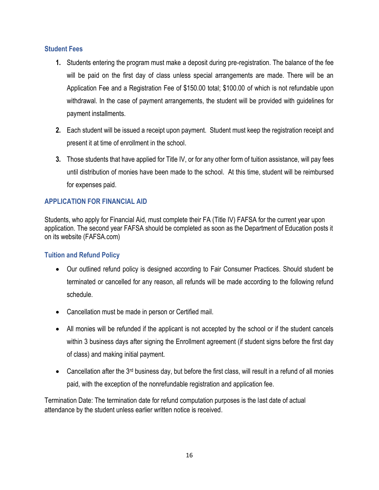## <span id="page-26-0"></span>**Student Fees**

- **1.** Students entering the program must make a deposit during pre-registration. The balance of the fee will be paid on the first day of class unless special arrangements are made. There will be an Application Fee and a Registration Fee of \$150.00 total; \$100.00 of which is not refundable upon withdrawal. In the case of payment arrangements, the student will be provided with guidelines for payment installments.
- **2.** Each student will be issued a receipt upon payment. Student must keep the registration receipt and present it at time of enrollment in the school.
- **3.** Those students that have applied for Title IV, or for any other form of tuition assistance, will pay fees until distribution of monies have been made to the school. At this time, student will be reimbursed for expenses paid.

## <span id="page-26-1"></span>**APPLICATION FOR FINANCIAL AID**

Students, who apply for Financial Aid, must complete their FA (Title IV) FAFSA for the current year upon application. The second year FAFSA should be completed as soon as the Department of Education posts it on its website (FAFSA.com)

## <span id="page-26-2"></span>**Tuition and Refund Policy**

- Our outlined refund policy is designed according to Fair Consumer Practices. Should student be terminated or cancelled for any reason, all refunds will be made according to the following refund schedule.
- Cancellation must be made in person or Certified mail.
- All monies will be refunded if the applicant is not accepted by the school or if the student cancels within 3 business days after signing the Enrollment agreement (if student signs before the first day of class) and making initial payment.
- Cancellation after the  $3<sup>rd</sup>$  business day, but before the first class, will result in a refund of all monies paid, with the exception of the nonrefundable registration and application fee.

Termination Date: The termination date for refund computation purposes is the last date of actual attendance by the student unless earlier written notice is received.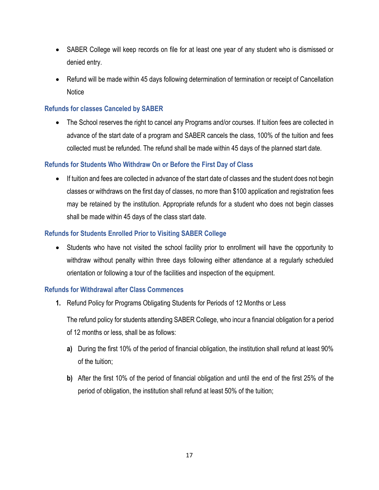- SABER College will keep records on file for at least one year of any student who is dismissed or denied entry.
- Refund will be made within 45 days following determination of termination or receipt of Cancellation **Notice**

## <span id="page-27-0"></span>**Refunds for classes Canceled by SABER**

• The School reserves the right to cancel any Programs and/or courses. If tuition fees are collected in advance of the start date of a program and SABER cancels the class, 100% of the tuition and fees collected must be refunded. The refund shall be made within 45 days of the planned start date.

## <span id="page-27-1"></span>**Refunds for Students Who Withdraw On or Before the First Day of Class**

• If tuition and fees are collected in advance of the start date of classes and the student does not begin classes or withdraws on the first day of classes, no more than \$100 application and registration fees may be retained by the institution. Appropriate refunds for a student who does not begin classes shall be made within 45 days of the class start date.

## <span id="page-27-2"></span>**Refunds for Students Enrolled Prior to Visiting SABER College**

• Students who have not visited the school facility prior to enrollment will have the opportunity to withdraw without penalty within three days following either attendance at a regularly scheduled orientation or following a tour of the facilities and inspection of the equipment.

## <span id="page-27-3"></span>**Refunds for Withdrawal after Class Commences**

**1.** Refund Policy for Programs Obligating Students for Periods of 12 Months or Less

The refund policy for students attending SABER College, who incur a financial obligation for a period of 12 months or less, shall be as follows:

- **a)** During the first 10% of the period of financial obligation, the institution shall refund at least 90% of the tuition;
- **b)** After the first 10% of the period of financial obligation and until the end of the first 25% of the period of obligation, the institution shall refund at least 50% of the tuition;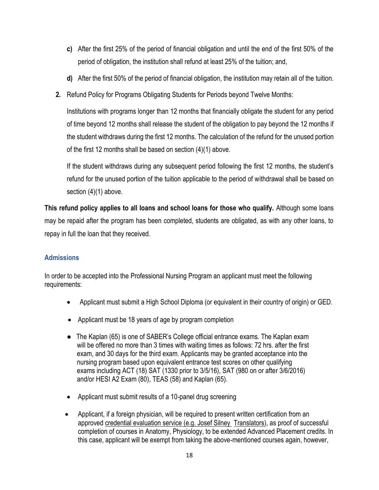- **c)** After the first 25% of the period of financial obligation and until the end of the first 50% of the period of obligation, the institution shall refund at least 25% of the tuition; and,
- **d)** After the first 50% of the period of financial obligation, the institution may retain all of the tuition.
- **2.** Refund Policy for Programs Obligating Students for Periods beyond Twelve Months:

Institutions with programs longer than 12 months that financially obligate the student for any period of time beyond 12 months shall release the student of the obligation to pay beyond the 12 months if the student withdraws during the first 12 months. The calculation of the refund for the unused portion of the first 12 months shall be based on section (4)(1) above.

If the student withdraws during any subsequent period following the first 12 months, the student's refund for the unused portion of the tuition applicable to the period of withdrawal shall be based on section (4)(1) above.

**This refund policy applies to all loans and school loans for those who qualify.** Although some loans may be repaid after the program has been completed, students are obligated, as with any other loans, to repay in full the loan that they received.

## <span id="page-28-0"></span>**Admissions**

In order to be accepted into the Professional Nursing Program an applicant must meet the following requirements:

- Applicant must submit a High School Diploma (or equivalent in their country of origin) or GED.
- Applicant must be 18 years of age by program completion
- The Kaplan (65) is one of SABER's College official entrance exams. The Kaplan exam will be offered no more than 3 times with waiting times as follows: 72 hrs. after the first exam, and 30 days for the third exam. Applicants may be granted acceptance into the nursing program based upon equivalent entrance test scores on other qualifying exams including ACT (18) SAT (1330 prior to 3/5/16), SAT (980 on or after 3/6/2016) and/or HESI A2 Exam (80), TEAS (58) and Kaplan (65).
- Applicant must submit results of a 10-panel drug screening
- Applicant, if a foreign physician, will be required to present written certification from an approved credential evaluation service (e.g. Josef Silney Translators), as proof of successful completion of courses in Anatomy, Physiology, to be extended Advanced Placement credits. In this case, applicant will be exempt from taking the above-mentioned courses again, however,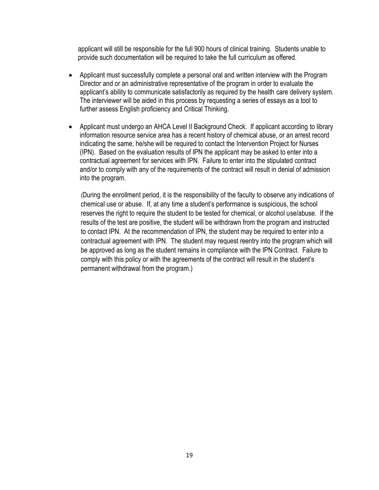applicant will still be responsible for the full 900 hours of clinical training. Students unable to provide such documentation will be required to take the full curriculum as offered.

- Applicant must successfully complete a personal oral and written interview with the Program Director and or an administrative representative of the program in order to evaluate the applicant's ability to communicate satisfactorily as required by the health care delivery system. The interviewer will be aided in this process by requesting a series of essays as a tool to further assess English proficiency and Critical Thinking.
- Applicant must undergo an AHCA Level II Background Check. If applicant according to library information resource service area has a recent history of chemical abuse, or an arrest record indicating the same, he/she will be required to contact the Intervention Project for Nurses (IPN). Based on the evaluation results of IPN the applicant may be asked to enter into a contractual agreement for services with IPN. Failure to enter into the stipulated contract and/or to comply with any of the requirements of the contract will result in denial of admission into the program.

(During the enrollment period, it is the responsibility of the faculty to observe any indications of chemical use or abuse. If, at any time a student's performance is suspicious, the school reserves the right to require the student to be tested for chemical, or alcohol use/abuse. If the results of the test are positive, the student will be withdrawn from the program and instructed to contact IPN. At the recommendation of IPN, the student may be required to enter into a contractual agreement with IPN. The student may request reentry into the program which will be approved as long as the student remains in compliance with the IPN Contract. Failure to comply with this policy or with the agreements of the contract will result in the student's permanent withdrawal from the program.)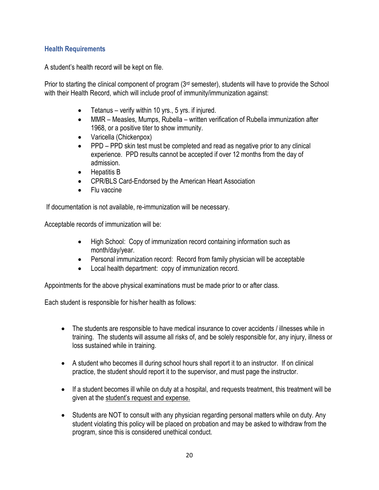## <span id="page-30-0"></span>**Health Requirements**

A student's health record will be kept on file.

Prior to starting the clinical component of program (3<sup>rd</sup> semester), students will have to provide the School with their Health Record, which will include proof of immunity/immunization against:

- Tetanus verify within 10 yrs., 5 yrs. if injured.
- MMR Measles, Mumps, Rubella written verification of Rubella immunization after 1968, or a positive titer to show immunity.
- Varicella (Chickenpox)
- PPD PPD skin test must be completed and read as negative prior to any clinical experience. PPD results cannot be accepted if over 12 months from the day of admission.
- Hepatitis B
- CPR/BLS Card-Endorsed by the American Heart Association
- Flu vaccine

If documentation is not available, re-immunization will be necessary.

Acceptable records of immunization will be:

- High School: Copy of immunization record containing information such as month/day/year.
- Personal immunization record: Record from family physician will be acceptable
- Local health department: copy of immunization record.

Appointments for the above physical examinations must be made prior to or after class.

Each student is responsible for his/her health as follows:

- The students are responsible to have medical insurance to cover accidents / illnesses while in training. The students will assume all risks of, and be solely responsible for, any injury, illness or loss sustained while in training.
- A student who becomes ill during school hours shall report it to an instructor. If on clinical practice, the student should report it to the supervisor, and must page the instructor.
- If a student becomes ill while on duty at a hospital, and requests treatment, this treatment will be given at the student's request and expense.
- Students are NOT to consult with any physician regarding personal matters while on duty. Any student violating this policy will be placed on probation and may be asked to withdraw from the program, since this is considered unethical conduct.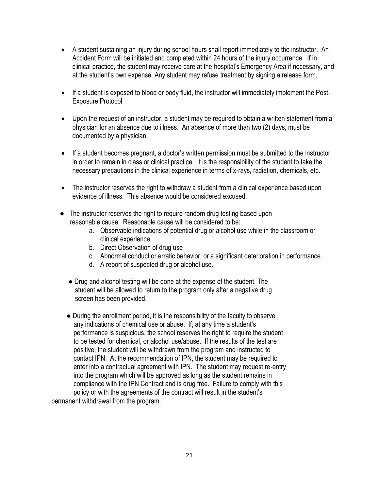- A student sustaining an injury during school hours shall report immediately to the instructor. An Accident Form will be initiated and completed within 24 hours of the injury occurrence. If in clinical practice, the student may receive care at the hospital's Emergency Area if necessary, and at the student's own expense. Any student may refuse treatment by signing a release form.
- If a student is exposed to blood or body fluid, the instructor will immediately implement the Post-Exposure Protocol
- Upon the request of an instructor, a student may be required to obtain a written statement from a physician for an absence due to illness. An absence of more than two (2) days, must be documented by a physician.
- If a student becomes pregnant, a doctor's written permission must be submitted to the instructor in order to remain in class or clinical practice. It is the responsibility of the student to take the necessary precautions in the clinical experience in terms of x-rays, radiation, chemicals, etc.
- The instructor reserves the right to withdraw a student from a clinical experience based upon evidence of illness. This absence would be considered excused.
- The instructor reserves the right to require random drug testing based upon reasonable cause. Reasonable cause will be considered to be:
	- a. Observable indications of potential drug or alcohol use while in the classroom or clinical experience.
	- b. Direct Observation of drug use
	- c. Abnormal conduct or erratic behavior, or a significant deterioration in performance.
	- d. A report of suspected drug or alcohol use.
	- Drug and alcohol testing will be done at the expense of the student. The student will be allowed to return to the program only after a negative drug screen has been provided.
- During the enrollment period, it is the responsibility of the faculty to observe any indications of chemical use or abuse. If, at any time a student's performance is suspicious, the school reserves the right to require the student to be tested for chemical, or alcohol use/abuse. If the results of the test are positive, the student will be withdrawn from the program and instructed to contact IPN. At the recommendation of IPN, the student may be required to enter into a contractual agreement with IPN. The student may request re-entry into the program which will be approved as long as the student remains in compliance with the IPN Contract and is drug free. Failure to comply with this policy or with the agreements of the contract will result in the student's permanent withdrawal from the program.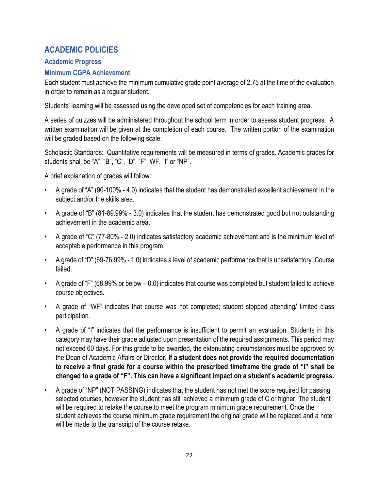## <span id="page-32-0"></span>**ACADEMIC POLICIES**

## <span id="page-32-1"></span>**Academic Progress**

## <span id="page-32-2"></span>**Minimum CGPA Achievement**

Each student must achieve the minimum cumulative grade point average of 2.75 at the time of the evaluation in order to remain as a regular student.

Students' learning will be assessed using the developed set of competencies for each training area.

A series of quizzes will be administered throughout the school term in order to assess student progress. A written examination will be given at the completion of each course. The written portion of the examination will be graded based on the following scale:

Scholastic Standards: Quantitative requirements will be measured in terms of grades. Academic grades for students shall be "A", "B", "C", "D", "F", WF, "I" or "NP".

A brief explanation of grades will follow:

- A grade of "A" (90-100% 4.0) indicates that the student has demonstrated excellent achievement in the subject and/or the skills area.
- A grade of "B" (81-89.99% 3.0) indicates that the student has demonstrated good but not outstanding achievement in the academic area.
- A grade of "C" (77-80% 2.0) indicates satisfactory academic achievement and is the minimum level of acceptable performance in this program.
- A grade of "D" (69-76.99% 1.0) indicates a level of academic performance that is unsatisfactory. Course failed.
- A grade of "F" (68.99% or below 0.0) indicates that course was completed but student failed to achieve course objectives.
- A grade of "WF" indicates that course was not completed; student stopped attending/ limited class participation.
- A grade of "I" indicates that the performance is insufficient to permit an evaluation. Students in this category may have their grade adjusted upon presentation of the required assignments. This period may not exceed 60 days. For this grade to be awarded, the extenuating circumstances must be approved by the Dean of Academic Affairs or Director. **If a student does not provide the required documentation to receive a final grade for a course within the prescribed timeframe the grade of "I" shall be changed to a grade of "F". This can have a significant impact on a student's academic progress.**
- A grade of "NP" (NOT PASSING) indicates that the student has not met the score required for passing selected courses, however the student has still achieved a minimum grade of C or higher. The student will be required to retake the course to meet the program minimum grade requirement. Once the student achieves the course minimum grade requirement the original grade will be replaced and a note will be made to the transcript of the course retake.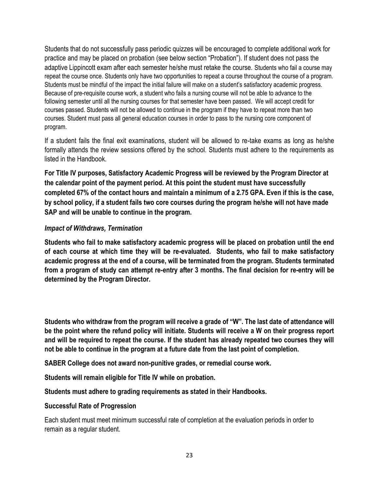Students that do not successfully pass periodic quizzes will be encouraged to complete additional work for practice and may be placed on probation (see below section "Probation"). If student does not pass the adaptive Lippincott exam after each semester he/she must retake the course. Students who fail a course may repeat the course once. Students only have two opportunities to repeat a course throughout the course of a program. Students must be mindful of the impact the initial failure will make on a student's satisfactory academic progress. Because of pre-requisite course work, a student who fails a nursing course will not be able to advance to the following semester until all the nursing courses for that semester have been passed. We will accept credit for courses passed. Students will not be allowed to continue in the program if they have to repeat more than two courses. Student must pass all general education courses in order to pass to the nursing core component of program.

If a student fails the final exit examinations, student will be allowed to re-take exams as long as he/she formally attends the review sessions offered by the school. Students must adhere to the requirements as listed in the Handbook.

**For Title IV purposes, Satisfactory Academic Progress will be reviewed by the Program Director at the calendar point of the payment period. At this point the student must have successfully completed 67% of the contact hours and maintain a minimum of a 2.75 GPA. Even if this is the case, by school policy, if a student fails two core courses during the program he/she will not have made SAP and will be unable to continue in the program.**

## *Impact of Withdraws, Termination*

**Students who fail to make satisfactory academic progress will be placed on probation until the end of each course at which time they will be re-evaluated. Students, who fail to make satisfactory academic progress at the end of a course, will be terminated from the program. Students terminated from a program of study can attempt re-entry after 3 months. The final decision for re-entry will be determined by the Program Director.**

**Students who withdraw from the program will receive a grade of "W". The last date of attendance will be the point where the refund policy will initiate. Students will receive a W on their progress report and will be required to repeat the course. If the student has already repeated two courses they will not be able to continue in the program at a future date from the last point of completion.**

**SABER College does not award non-punitive grades, or remedial course work.**

**Students will remain eligible for Title IV while on probation.** 

**Students must adhere to grading requirements as stated in their Handbooks.**

## **Successful Rate of Progression**

Each student must meet minimum successful rate of completion at the evaluation periods in order to remain as a regular student.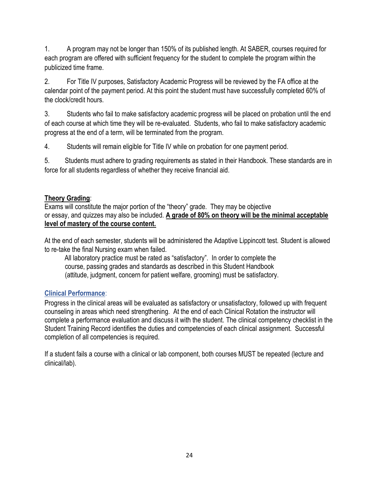1. A program may not be longer than 150% of its published length. At SABER, courses required for each program are offered with sufficient frequency for the student to complete the program within the publicized time frame.

2. For Title IV purposes, Satisfactory Academic Progress will be reviewed by the FA office at the calendar point of the payment period. At this point the student must have successfully completed 60% of the clock/credit hours.

3. Students who fail to make satisfactory academic progress will be placed on probation until the end of each course at which time they will be re-evaluated. Students, who fail to make satisfactory academic progress at the end of a term, will be terminated from the program.

4. Students will remain eligible for Title IV while on probation for one payment period.

5. Students must adhere to grading requirements as stated in their Handbook. These standards are in force for all students regardless of whether they receive financial aid.

## <span id="page-34-0"></span>**Theory Grading**:

Exams will constitute the major portion of the "theory" grade. They may be objective or essay, and quizzes may also be included. **A grade of 80% on theory will be the minimal acceptable level of mastery of the course content.** 

At the end of each semester, students will be administered the Adaptive Lippincott test. Student is allowed to re-take the final Nursing exam when failed.

 All laboratory practice must be rated as "satisfactory". In order to complete the course, passing grades and standards as described in this Student Handbook (attitude, judgment, concern for patient welfare, grooming) must be satisfactory.

## <span id="page-34-1"></span>**Clinical Performance**:

Progress in the clinical areas will be evaluated as satisfactory or unsatisfactory, followed up with frequent counseling in areas which need strengthening. At the end of each Clinical Rotation the instructor will complete a performance evaluation and discuss it with the student. The clinical competency checklist in the Student Training Record identifies the duties and competencies of each clinical assignment. Successful completion of all competencies is required.

If a student fails a course with a clinical or lab component, both courses MUST be repeated (lecture and clinical/lab).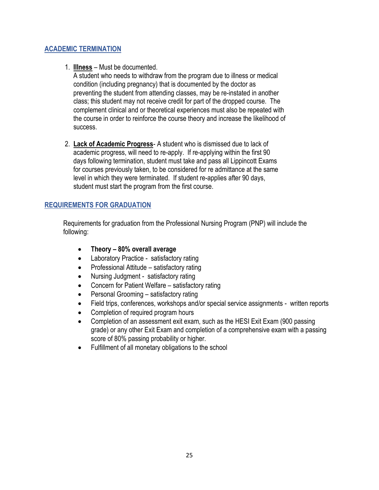## <span id="page-35-0"></span>**ACADEMIC TERMINATION**

1. **Illness** – Must be documented.

 A student who needs to withdraw from the program due to illness or medical condition (including pregnancy) that is documented by the doctor as preventing the student from attending classes, may be re-instated in another class; this student may not receive credit for part of the dropped course. The complement clinical and or theoretical experiences must also be repeated with the course in order to reinforce the course theory and increase the likelihood of success.

 2. **Lack of Academic Progress**- A student who is dismissed due to lack of academic progress, will need to re-apply. If re-applying within the first 90 days following termination, student must take and pass all Lippincott Exams for courses previously taken, to be considered for re admittance at the same level in which they were terminated. If student re-applies after 90 days, student must start the program from the first course.

## <span id="page-35-1"></span>**REQUIREMENTS FOR GRADUATION**

 Requirements for graduation from the Professional Nursing Program (PNP) will include the following:

- **Theory – 80% overall average**
- Laboratory Practice satisfactory rating
- Professional Attitude satisfactory rating
- Nursing Judgment satisfactory rating
- Concern for Patient Welfare satisfactory rating
- Personal Grooming satisfactory rating
- Field trips, conferences, workshops and/or special service assignments written reports
- Completion of required program hours
- Completion of an assessment exit exam, such as the HESI Exit Exam (900 passing grade) or any other Exit Exam and completion of a comprehensive exam with a passing score of 80% passing probability or higher.
- Fulfillment of all monetary obligations to the school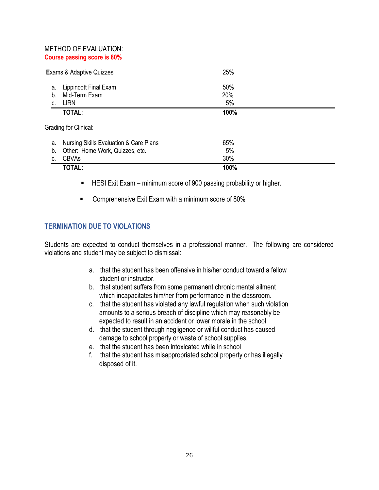#### METHOD OF EVALUATION: **Course passing score is 80%**

| <b>Exams &amp; Adaptive Quizzes</b> |                                                | 25%              |  |  |
|-------------------------------------|------------------------------------------------|------------------|--|--|
| a.<br>b.<br>C.                      | Lippincott Final Exam<br>Mid-Term Exam<br>LIRN | 50%<br>20%<br>5% |  |  |
|                                     | <b>TOTAL:</b>                                  | 100%             |  |  |
| Grading for Clinical:               |                                                |                  |  |  |

| a. Nursing Skills Evaluation & Care Plans | 65%  |
|-------------------------------------------|------|
| b. Other: Home Work, Quizzes, etc.        | 5%   |
| c. CBVAs                                  | 30%  |
| <b>TOTAL:</b>                             | 100% |

- HESI Exit Exam minimum score of 900 passing probability or higher.
- Comprehensive Exit Exam with a minimum score of 80%

## <span id="page-36-0"></span>**TERMINATION DUE TO VIOLATIONS**

Students are expected to conduct themselves in a professional manner. The following are considered violations and student may be subject to dismissal:

- a. that the student has been offensive in his/her conduct toward a fellow student or instructor.
- b. that student suffers from some permanent chronic mental ailment which incapacitates him/her from performance in the classroom.
- c. that the student has violated any lawful regulation when such violation amounts to a serious breach of discipline which may reasonably be expected to result in an accident or lower morale in the school
- d. that the student through negligence or willful conduct has caused damage to school property or waste of school supplies.
- e. that the student has been intoxicated while in school
- f. that the student has misappropriated school property or has illegally disposed of it.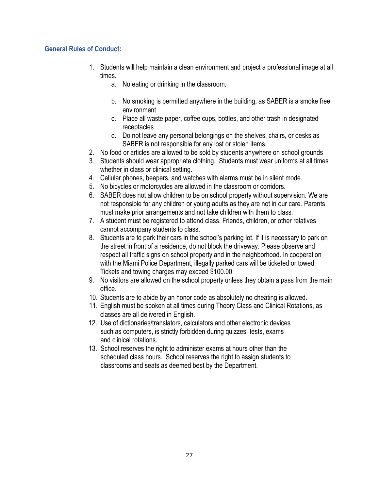## <span id="page-37-0"></span>**General Rules of Conduct:**

- 1. Students will help maintain a clean environment and project a professional image at all times.
	- a. No eating or drinking in the classroom.
	- b. No smoking is permitted anywhere in the building, as SABER is a smoke free environment
	- c. Place all waste paper, coffee cups, bottles, and other trash in designated receptacles
	- d. Do not leave any personal belongings on the shelves, chairs, or desks as SABER is not responsible for any lost or stolen items.
- 2. No food or articles are allowed to be sold by students anywhere on school grounds
- 3. Students should wear appropriate clothing. Students must wear uniforms at all times whether in class or clinical setting.
- 4. Cellular phones, beepers, and watches with alarms must be in silent mode.
- 5. No bicycles or motorcycles are allowed in the classroom or corridors.
- 6. SABER does not allow children to be on school property without supervision. We are not responsible for any children or young adults as they are not in our care. Parents must make prior arrangements and not take children with them to class.
- 7. A student must be registered to attend class. Friends, children, or other relatives cannot accompany students to class.
- 8. Students are to park their cars in the school's parking lot. If it is necessary to park on the street in front of a residence, do not block the driveway. Please observe and respect all traffic signs on school property and in the neighborhood. In cooperation with the Miami Police Department, illegally parked cars will be ticketed or towed. Tickets and towing charges may exceed \$100.00
- 9. No visitors are allowed on the school property unless they obtain a pass from the main office.
- 10. Students are to abide by an honor code as absolutely no cheating is allowed.
- 11. English must be spoken at all times during Theory Class and Clinical Rotations, as classes are all delivered in English.
- 12. Use of dictionaries/translators, calculators and other electronic devices such as computers, is strictly forbidden during quizzes, tests, exams and clinical rotations.
- 13. School reserves the right to administer exams at hours other than the scheduled class hours. School reserves the right to assign students to classrooms and seats as deemed best by the Department.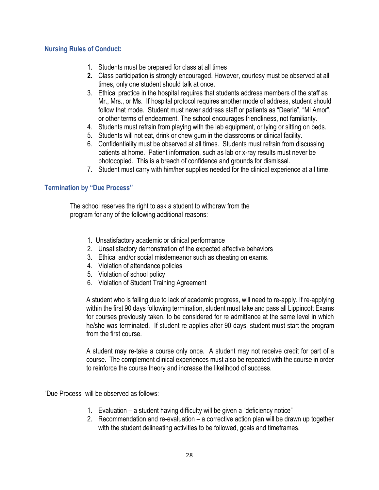#### <span id="page-38-0"></span>**Nursing Rules of Conduct:**

- 1. Students must be prepared for class at all times
- **2.** Class participation is strongly encouraged. However, courtesy must be observed at all times, only one student should talk at once.
- 3. Ethical practice in the hospital requires that students address members of the staff as Mr., Mrs., or Ms. If hospital protocol requires another mode of address, student should follow that mode. Student must never address staff or patients as "Dearie", "Mi Amor", or other terms of endearment. The school encourages friendliness, not familiarity.
- 4. Students must refrain from playing with the lab equipment, or lying or sitting on beds.
- 5. Students will not eat, drink or chew gum in the classrooms or clinical facility.
- 6. Confidentiality must be observed at all times. Students must refrain from discussing patients at home. Patient information, such as lab or x-ray results must never be photocopied. This is a breach of confidence and grounds for dismissal.
- 7. Student must carry with him/her supplies needed for the clinical experience at all time.

#### <span id="page-38-1"></span>**Termination by "Due Process"**

The school reserves the right to ask a student to withdraw from the program for any of the following additional reasons:

- 1. Unsatisfactory academic or clinical performance
- 2. Unsatisfactory demonstration of the expected affective behaviors
- 3. Ethical and/or social misdemeanor such as cheating on exams.
- 4. Violation of attendance policies
- 5. Violation of school policy
- 6. Violation of Student Training Agreement

A student who is failing due to lack of academic progress, will need to re-apply. If re-applying within the first 90 days following termination, student must take and pass all Lippincott Exams for courses previously taken, to be considered for re admittance at the same level in which he/she was terminated. If student re applies after 90 days, student must start the program from the first course.

A student may re-take a course only once. A student may not receive credit for part of a course. The complement clinical experiences must also be repeated with the course in order to reinforce the course theory and increase the likelihood of success.

"Due Process" will be observed as follows:

- 1. Evaluation a student having difficulty will be given a "deficiency notice"
- 2. Recommendation and re-evaluation a corrective action plan will be drawn up together with the student delineating activities to be followed, goals and timeframes.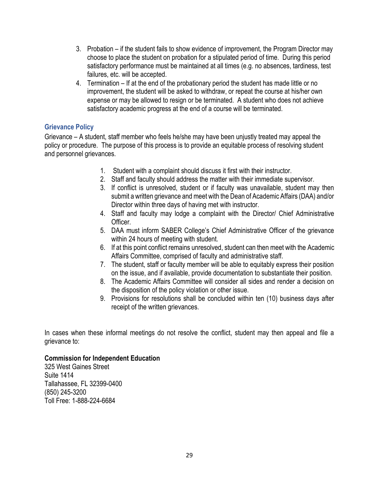- 3. Probation if the student fails to show evidence of improvement, the Program Director may choose to place the student on probation for a stipulated period of time. During this period satisfactory performance must be maintained at all times (e.g. no absences, tardiness, test failures, etc. will be accepted.
- 4. Termination If at the end of the probationary period the student has made little or no improvement, the student will be asked to withdraw, or repeat the course at his/her own expense or may be allowed to resign or be terminated. A student who does not achieve satisfactory academic progress at the end of a course will be terminated.

## <span id="page-39-0"></span>**Grievance Policy**

Grievance – A student, staff member who feels he/she may have been unjustly treated may appeal the policy or procedure. The purpose of this process is to provide an equitable process of resolving student and personnel grievances.

- 1. Student with a complaint should discuss it first with their instructor.
- 2. Staff and faculty should address the matter with their immediate supervisor.
- 3. If conflict is unresolved, student or if faculty was unavailable, student may then submit a written grievance and meet with the Dean of Academic Affairs (DAA) and/or Director within three days of having met with instructor.
- 4. Staff and faculty may lodge a complaint with the Director/ Chief Administrative Officer.
- 5. DAA must inform SABER College's Chief Administrative Officer of the grievance within 24 hours of meeting with student.
- 6. If at this point conflict remains unresolved, student can then meet with the Academic Affairs Committee, comprised of faculty and administrative staff.
- 7. The student, staff or faculty member will be able to equitably express their position on the issue, and if available, provide documentation to substantiate their position.
- 8. The Academic Affairs Committee will consider all sides and render a decision on the disposition of the policy violation or other issue.
- 9. Provisions for resolutions shall be concluded within ten (10) business days after receipt of the written grievances.

In cases when these informal meetings do not resolve the conflict, student may then appeal and file a grievance to:

#### **Commission for Independent Education**

325 West Gaines Street Suite 1414 Tallahassee, FL 32399-0400 (850) 245-3200 Toll Free: 1-888-224-6684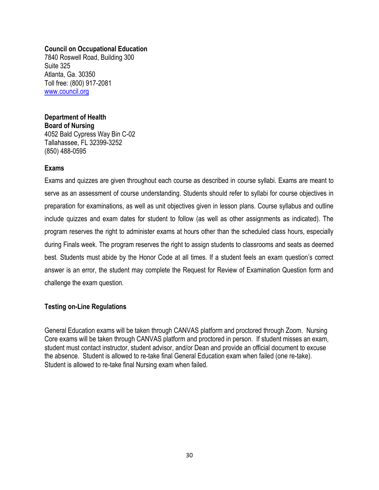#### **Council on Occupational Education**

7840 Roswell Road, Building 300 Suite 325 Atlanta, Ga. 30350 Toll free: (800) 917-2081 [www.council.org](http://www.council.org/)

#### **Department of Health Board of Nursing** 4052 Bald Cypress Way Bin C-02

Tallahassee, FL 32399-3252 (850) 488-0595

## <span id="page-40-0"></span>**Exams**

Exams and quizzes are given throughout each course as described in course syllabi. Exams are meant to serve as an assessment of course understanding. Students should refer to syllabi for course objectives in preparation for examinations, as well as unit objectives given in lesson plans. Course syllabus and outline include quizzes and exam dates for student to follow (as well as other assignments as indicated). The program reserves the right to administer exams at hours other than the scheduled class hours, especially during Finals week. The program reserves the right to assign students to classrooms and seats as deemed best. Students must abide by the Honor Code at all times. If a student feels an exam question's correct answer is an error, the student may complete the Request for Review of Examination Question form and challenge the exam question.

## **Testing on-Line Regulations**

General Education exams will be taken through CANVAS platform and proctored through Zoom. Nursing Core exams will be taken through CANVAS platform and proctored in person. If student misses an exam, student must contact instructor, student advisor, and/or Dean and provide an official document to excuse the absence. Student is allowed to re-take final General Education exam when failed (one re-take). Student is allowed to re-take final Nursing exam when failed.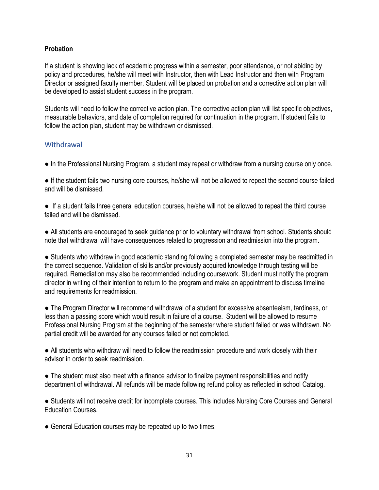## <span id="page-41-0"></span>**Probation**

If a student is showing lack of academic progress within a semester, poor attendance, or not abiding by policy and procedures, he/she will meet with Instructor, then with Lead Instructor and then with Program Director or assigned faculty member. Student will be placed on probation and a corrective action plan will be developed to assist student success in the program.

Students will need to follow the corrective action plan. The corrective action plan will list specific objectives, measurable behaviors, and date of completion required for continuation in the program. If student fails to follow the action plan, student may be withdrawn or dismissed.

## <span id="page-41-1"></span>**Withdrawal**

● In the Professional Nursing Program, a student may repeat or withdraw from a nursing course only once.

● If the student fails two nursing core courses, he/she will not be allowed to repeat the second course failed and will be dismissed.

● If a student fails three general education courses, he/she will not be allowed to repeat the third course failed and will be dismissed.

● All students are encouraged to seek guidance prior to voluntary withdrawal from school. Students should note that withdrawal will have consequences related to progression and readmission into the program.

● Students who withdraw in good academic standing following a completed semester may be readmitted in the correct sequence. Validation of skills and/or previously acquired knowledge through testing will be required. Remediation may also be recommended including coursework. Student must notify the program director in writing of their intention to return to the program and make an appointment to discuss timeline and requirements for readmission.

● The Program Director will recommend withdrawal of a student for excessive absenteeism, tardiness, or less than a passing score which would result in failure of a course. Student will be allowed to resume Professional Nursing Program at the beginning of the semester where student failed or was withdrawn. No partial credit will be awarded for any courses failed or not completed.

• All students who withdraw will need to follow the readmission procedure and work closely with their advisor in order to seek readmission.

● The student must also meet with a finance advisor to finalize payment responsibilities and notify department of withdrawal. All refunds will be made following refund policy as reflected in school Catalog.

● Students will not receive credit for incomplete courses. This includes Nursing Core Courses and General Education Courses.

● General Education courses may be repeated up to two times.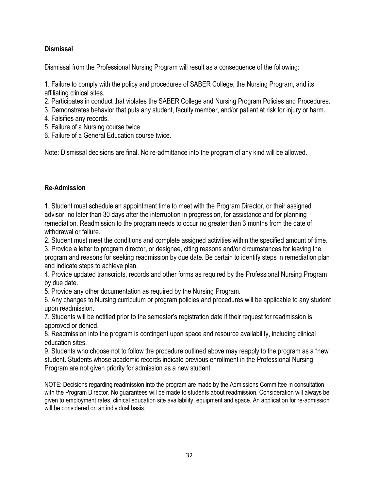## <span id="page-42-0"></span>**Dismissal**

Dismissal from the Professional Nursing Program will result as a consequence of the following:

1. Failure to comply with the policy and procedures of SABER College, the Nursing Program, and its affiliating clinical sites.

- 2. Participates in conduct that violates the SABER College and Nursing Program Policies and Procedures.
- 3. Demonstrates behavior that puts any student, faculty member, and/or patient at risk for injury or harm.
- 4. Falsifies any records.
- 5. Failure of a Nursing course twice
- 6. Failure of a General Education course twice.

Note: Dismissal decisions are final. No re-admittance into the program of any kind will be allowed.

## <span id="page-42-1"></span>**Re-Admission**

1. Student must schedule an appointment time to meet with the Program Director, or their assigned advisor, no later than 30 days after the interruption in progression, for assistance and for planning remediation. Readmission to the program needs to occur no greater than 3 months from the date of withdrawal or failure.

2. Student must meet the conditions and complete assigned activities within the specified amount of time.

3. Provide a letter to program director, or designee, citing reasons and/or circumstances for leaving the program and reasons for seeking readmission by due date. Be certain to identify steps in remediation plan and indicate steps to achieve plan.

4. Provide updated transcripts, records and other forms as required by the Professional Nursing Program by due date.

5. Provide any other documentation as required by the Nursing Program.

6. Any changes to Nursing curriculum or program policies and procedures will be applicable to any student upon readmission.

7. Students will be notified prior to the semester's registration date if their request for readmission is approved or denied.

8. Readmission into the program is contingent upon space and resource availability, including clinical education sites.

9. Students who choose not to follow the procedure outlined above may reapply to the program as a "new" student. Students whose academic records indicate previous enrollment in the Professional Nursing Program are not given priority for admission as a new student.

NOTE: Decisions regarding readmission into the program are made by the Admissions Committee in consultation with the Program Director. No guarantees will be made to students about readmission. Consideration will always be given to employment rates, clinical education site availability, equipment and space. An application for re-admission will be considered on an individual basis.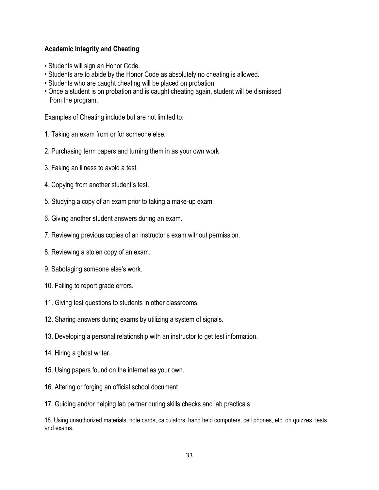## <span id="page-43-0"></span>**Academic Integrity and Cheating**

- Students will sign an Honor Code.
- Students are to abide by the Honor Code as absolutely no cheating is allowed.
- Students who are caught cheating will be placed on probation.
- Once a student is on probation and is caught cheating again, student will be dismissed from the program.

Examples of Cheating include but are not limited to:

- 1. Taking an exam from or for someone else.
- 2. Purchasing term papers and turning them in as your own work
- 3. Faking an illness to avoid a test.
- 4. Copying from another student's test.
- 5. Studying a copy of an exam prior to taking a make-up exam.
- 6. Giving another student answers during an exam.
- 7. Reviewing previous copies of an instructor's exam without permission.
- 8. Reviewing a stolen copy of an exam.
- 9. Sabotaging someone else's work.
- 10. Failing to report grade errors.
- 11. Giving test questions to students in other classrooms.
- 12. Sharing answers during exams by utilizing a system of signals.
- 13. Developing a personal relationship with an instructor to get test information.
- 14. Hiring a ghost writer.
- 15. Using papers found on the internet as your own.
- 16. Altering or forging an official school document
- 17. Guiding and/or helping lab partner during skills checks and lab practicals

18. Using unauthorized materials, note cards, calculators, hand held computers, cell phones, etc. on quizzes, tests, and exams.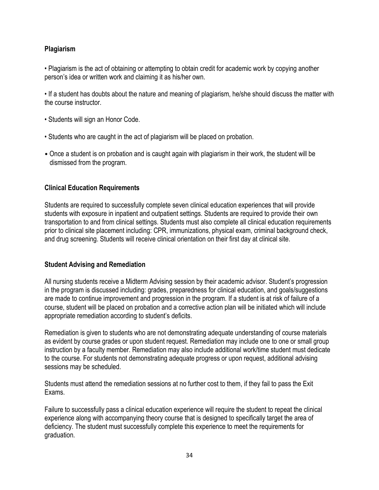## <span id="page-44-0"></span>**Plagiarism**

• Plagiarism is the act of obtaining or attempting to obtain credit for academic work by copying another person's idea or written work and claiming it as his/her own.

• If a student has doubts about the nature and meaning of plagiarism, he/she should discuss the matter with the course instructor.

- Students will sign an Honor Code.
- Students who are caught in the act of plagiarism will be placed on probation.
- Once a student is on probation and is caught again with plagiarism in their work, the student will be dismissed from the program.

#### <span id="page-44-1"></span>**Clinical Education Requirements**

Students are required to successfully complete seven clinical education experiences that will provide students with exposure in inpatient and outpatient settings. Students are required to provide their own transportation to and from clinical settings. Students must also complete all clinical education requirements prior to clinical site placement including: CPR, immunizations, physical exam, criminal background check, and drug screening. Students will receive clinical orientation on their first day at clinical site.

## <span id="page-44-2"></span>**Student Advising and Remediation**

All nursing students receive a Midterm Advising session by their academic advisor. Student's progression in the program is discussed including: grades, preparedness for clinical education, and goals/suggestions are made to continue improvement and progression in the program. If a student is at risk of failure of a course, student will be placed on probation and a corrective action plan will be initiated which will include appropriate remediation according to student's deficits.

Remediation is given to students who are not demonstrating adequate understanding of course materials as evident by course grades or upon student request. Remediation may include one to one or small group instruction by a faculty member. Remediation may also include additional work/time student must dedicate to the course. For students not demonstrating adequate progress or upon request, additional advising sessions may be scheduled.

Students must attend the remediation sessions at no further cost to them, if they fail to pass the Exit Exams.

Failure to successfully pass a clinical education experience will require the student to repeat the clinical experience along with accompanying theory course that is designed to specifically target the area of deficiency. The student must successfully complete this experience to meet the requirements for graduation.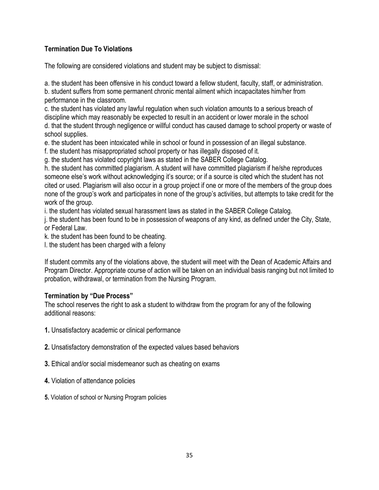## <span id="page-45-0"></span>**Termination Due To Violations**

The following are considered violations and student may be subject to dismissal:

a. the student has been offensive in his conduct toward a fellow student, faculty, staff, or administration. b. student suffers from some permanent chronic mental ailment which incapacitates him/her from performance in the classroom.

c. the student has violated any lawful regulation when such violation amounts to a serious breach of discipline which may reasonably be expected to result in an accident or lower morale in the school d. that the student through negligence or willful conduct has caused damage to school property or waste of school supplies.

e. the student has been intoxicated while in school or found in possession of an illegal substance.

f. the student has misappropriated school property or has illegally disposed of it.

g. the student has violated copyright laws as stated in the SABER College Catalog.

h. the student has committed plagiarism. A student will have committed plagiarism if he/she reproduces someone else's work without acknowledging it's source; or if a source is cited which the student has not cited or used. Plagiarism will also occur in a group project if one or more of the members of the group does none of the group's work and participates in none of the group's activities, but attempts to take credit for the work of the group.

i. the student has violated sexual harassment laws as stated in the SABER College Catalog.

j. the student has been found to be in possession of weapons of any kind, as defined under the City, State, or Federal Law.

k. the student has been found to be cheating.

l. the student has been charged with a felony

If student commits any of the violations above, the student will meet with the Dean of Academic Affairs and Program Director. Appropriate course of action will be taken on an individual basis ranging but not limited to probation, withdrawal, or termination from the Nursing Program.

#### <span id="page-45-1"></span>**Termination by "Due Process"**

The school reserves the right to ask a student to withdraw from the program for any of the following additional reasons:

- **1.** Unsatisfactory academic or clinical performance
- **2.** Unsatisfactory demonstration of the expected values based behaviors
- **3.** Ethical and/or social misdemeanor such as cheating on exams
- **4.** Violation of attendance policies
- **5.** Violation of school or Nursing Program policies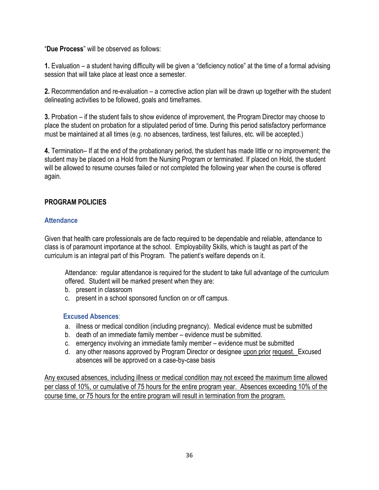"**Due Process**" will be observed as follows:

**1.** Evaluation – a student having difficulty will be given a "deficiency notice" at the time of a formal advising session that will take place at least once a semester.

**2.** Recommendation and re-evaluation – a corrective action plan will be drawn up together with the student delineating activities to be followed, goals and timeframes.

**3.** Probation – if the student fails to show evidence of improvement, the Program Director may choose to place the student on probation for a stipulated period of time. During this period satisfactory performance must be maintained at all times (e.g. no absences, tardiness, test failures, etc. will be accepted.)

**4.** Termination– If at the end of the probationary period, the student has made little or no improvement; the student may be placed on a Hold from the Nursing Program or terminated. If placed on Hold, the student will be allowed to resume courses failed or not completed the following year when the course is offered again.

## <span id="page-46-0"></span>**PROGRAM POLICIES**

#### <span id="page-46-1"></span>**Attendance**

Given that health care professionals are de facto required to be dependable and reliable, attendance to class is of paramount importance at the school. Employability Skills, which is taught as part of the curriculum is an integral part of this Program. The patient's welfare depends on it.

Attendance: regular attendance is required for the student to take full advantage of the curriculum offered. Student will be marked present when they are:

- b. present in classroom
- c. present in a school sponsored function on or off campus.

## <span id="page-46-2"></span>**Excused Absences**:

- a. illness or medical condition (including pregnancy). Medical evidence must be submitted
- b. death of an immediate family member evidence must be submitted.
- c. emergency involving an immediate family member evidence must be submitted
- d. any other reasons approved by Program Director or designee upon prior request. Excused absences will be approved on a case-by-case basis

Any excused absences, including illness or medical condition may not exceed the maximum time allowed per class of 10%, or cumulative of 75 hours for the entire program year. Absences exceeding 10% of the course time, or 75 hours for the entire program will result in termination from the program.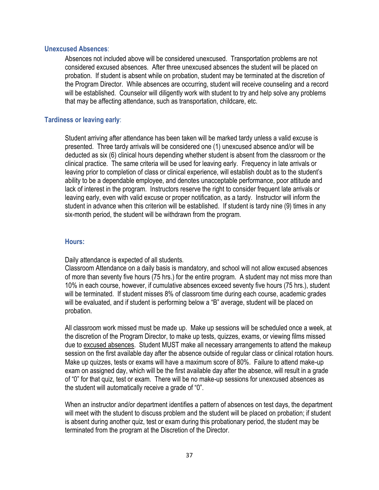#### <span id="page-47-0"></span>**Unexcused Absences**:

Absences not included above will be considered unexcused. Transportation problems are not considered excused absences. After three unexcused absences the student will be placed on probation. If student is absent while on probation, student may be terminated at the discretion of the Program Director. While absences are occurring, student will receive counseling and a record will be established. Counselor will diligently work with student to try and help solve any problems that may be affecting attendance, such as transportation, childcare, etc.

#### <span id="page-47-1"></span>**Tardiness or leaving early**:

Student arriving after attendance has been taken will be marked tardy unless a valid excuse is presented. Three tardy arrivals will be considered one (1) unexcused absence and/or will be deducted as six (6) clinical hours depending whether student is absent from the classroom or the clinical practice. The same criteria will be used for leaving early. Frequency in late arrivals or leaving prior to completion of class or clinical experience, will establish doubt as to the student's ability to be a dependable employee, and denotes unacceptable performance, poor attitude and lack of interest in the program. Instructors reserve the right to consider frequent late arrivals or leaving early, even with valid excuse or proper notification, as a tardy. Instructor will inform the student in advance when this criterion will be established. If student is tardy nine (9) times in any six-month period, the student will be withdrawn from the program.

#### <span id="page-47-2"></span> **Hours:**

Daily attendance is expected of all students.

Classroom Attendance on a daily basis is mandatory, and school will not allow excused absences of more than seventy five hours (75 hrs.) for the entire program. A student may not miss more than 10% in each course, however, if cumulative absences exceed seventy five hours (75 hrs.), student will be terminated. If student misses 8% of classroom time during each course, academic grades will be evaluated, and if student is performing below a "B" average, student will be placed on probation.

All classroom work missed must be made up. Make up sessions will be scheduled once a week, at the discretion of the Program Director, to make up tests, quizzes, exams, or viewing films missed due to excused absences. Student MUST make all necessary arrangements to attend the makeup session on the first available day after the absence outside of regular class or clinical rotation hours. Make up quizzes, tests or exams will have a maximum score of 80%. Failure to attend make-up exam on assigned day, which will be the first available day after the absence, will result in a grade of "0" for that quiz, test or exam. There will be no make-up sessions for unexcused absences as the student will automatically receive a grade of "0".

When an instructor and/or department identifies a pattern of absences on test days, the department will meet with the student to discuss problem and the student will be placed on probation; if student is absent during another quiz, test or exam during this probationary period, the student may be terminated from the program at the Discretion of the Director.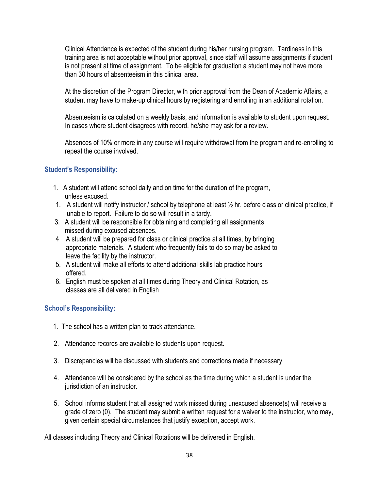Clinical Attendance is expected of the student during his/her nursing program. Tardiness in this training area is not acceptable without prior approval, since staff will assume assignments if student is not present at time of assignment. To be eligible for graduation a student may not have more than 30 hours of absenteeism in this clinical area.

At the discretion of the Program Director, with prior approval from the Dean of Academic Affairs, a student may have to make-up clinical hours by registering and enrolling in an additional rotation.

Absenteeism is calculated on a weekly basis, and information is available to student upon request. In cases where student disagrees with record, he/she may ask for a review.

Absences of 10% or more in any course will require withdrawal from the program and re-enrolling to repeat the course involved.

## <span id="page-48-0"></span>**Student's Responsibility:**

- 1. A student will attend school daily and on time for the duration of the program, unless excused.
- 1. A student will notify instructor / school by telephone at least ½ hr. before class or clinical practice, if unable to report. Failure to do so will result in a tardy.
- 3. A student will be responsible for obtaining and completing all assignments missed during excused absences.
- 4 A student will be prepared for class or clinical practice at all times, by bringing appropriate materials. A student who frequently fails to do so may be asked to leave the facility by the instructor.
- 5. A student will make all efforts to attend additional skills lab practice hours offered.
- 6. English must be spoken at all times during Theory and Clinical Rotation, as classes are all delivered in English

## <span id="page-48-1"></span>**School's Responsibility:**

- 1. The school has a written plan to track attendance.
- 2. Attendance records are available to students upon request.
- 3. Discrepancies will be discussed with students and corrections made if necessary
- 4. Attendance will be considered by the school as the time during which a student is under the jurisdiction of an instructor.
- 5. School informs student that all assigned work missed during unexcused absence(s) will receive a grade of zero (0). The student may submit a written request for a waiver to the instructor, who may, given certain special circumstances that justify exception, accept work.

All classes including Theory and Clinical Rotations will be delivered in English.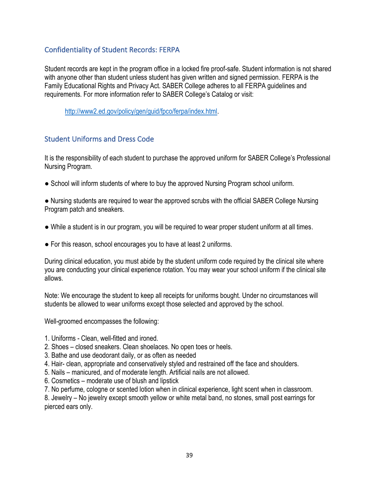## <span id="page-49-0"></span>Confidentiality of Student Records: FERPA

Student records are kept in the program office in a locked fire proof-safe. Student information is not shared with anyone other than student unless student has given written and signed permission. FERPA is the Family Educational Rights and Privacy Act. SABER College adheres to all FERPA guidelines and requirements. For more information refer to SABER College's Catalog or visit:

[http://www2.ed.gov/policy/gen/guid/fpco/ferpa/index.html.](http://www2.ed.gov/policy/gen/guid/fpco/ferpa/index.html)

## <span id="page-49-1"></span>Student Uniforms and Dress Code

It is the responsibility of each student to purchase the approved uniform for SABER College's Professional Nursing Program.

● School will inform students of where to buy the approved Nursing Program school uniform.

● Nursing students are required to wear the approved scrubs with the official SABER College Nursing Program patch and sneakers.

- While a student is in our program, you will be required to wear proper student uniform at all times.
- For this reason, school encourages you to have at least 2 uniforms.

During clinical education, you must abide by the student uniform code required by the clinical site where you are conducting your clinical experience rotation. You may wear your school uniform if the clinical site allows.

Note: We encourage the student to keep all receipts for uniforms bought. Under no circumstances will students be allowed to wear uniforms except those selected and approved by the school.

Well-groomed encompasses the following:

- 1. Uniforms Clean, well-fitted and ironed.
- 2. Shoes closed sneakers. Clean shoelaces. No open toes or heels.
- 3. Bathe and use deodorant daily, or as often as needed
- 4. Hair- clean, appropriate and conservatively styled and restrained off the face and shoulders.
- 5. Nails manicured, and of moderate length. Artificial nails are not allowed.
- 6. Cosmetics moderate use of blush and lipstick
- 7. No perfume, cologne or scented lotion when in clinical experience, light scent when in classroom.

8. Jewelry – No jewelry except smooth yellow or white metal band, no stones, small post earrings for pierced ears only.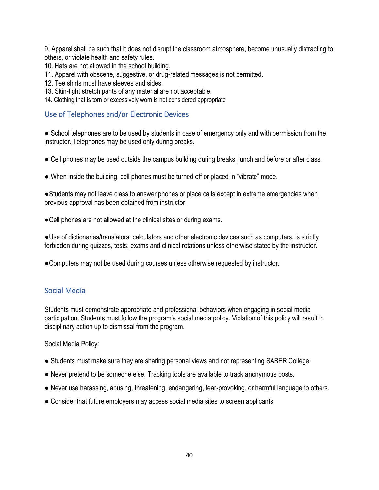9. Apparel shall be such that it does not disrupt the classroom atmosphere, become unusually distracting to others, or violate health and safety rules.

10. Hats are not allowed in the school building.

- 11. Apparel with obscene, suggestive, or drug-related messages is not permitted.
- 12. Tee shirts must have sleeves and sides.
- 13. Skin-tight stretch pants of any material are not acceptable.
- 14. Clothing that is torn or excessively worn is not considered appropriate

## <span id="page-50-0"></span>Use of Telephones and/or Electronic Devices

• School telephones are to be used by students in case of emergency only and with permission from the instructor. Telephones may be used only during breaks.

- Cell phones may be used outside the campus building during breaks, lunch and before or after class.
- When inside the building, cell phones must be turned off or placed in "vibrate" mode.

●Students may not leave class to answer phones or place calls except in extreme emergencies when previous approval has been obtained from instructor.

●Cell phones are not allowed at the clinical sites or during exams.

●Use of dictionaries/translators, calculators and other electronic devices such as computers, is strictly forbidden during quizzes, tests, exams and clinical rotations unless otherwise stated by the instructor.

●Computers may not be used during courses unless otherwise requested by instructor.

## <span id="page-50-1"></span>Social Media

Students must demonstrate appropriate and professional behaviors when engaging in social media participation. Students must follow the program's social media policy. Violation of this policy will result in disciplinary action up to dismissal from the program.

Social Media Policy:

- Students must make sure they are sharing personal views and not representing SABER College.
- Never pretend to be someone else. Tracking tools are available to track anonymous posts.
- Never use harassing, abusing, threatening, endangering, fear-provoking, or harmful language to others.
- Consider that future employers may access social media sites to screen applicants.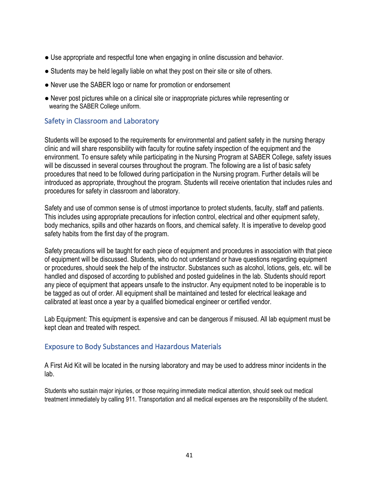- Use appropriate and respectful tone when engaging in online discussion and behavior.
- Students may be held legally liable on what they post on their site or site of others.
- Never use the SABER logo or name for promotion or endorsement
- Never post pictures while on a clinical site or inappropriate pictures while representing or wearing the SABER College uniform.

## <span id="page-51-0"></span>Safety in Classroom and Laboratory

Students will be exposed to the requirements for environmental and patient safety in the nursing therapy clinic and will share responsibility with faculty for routine safety inspection of the equipment and the environment. To ensure safety while participating in the Nursing Program at SABER College, safety issues will be discussed in several courses throughout the program. The following are a list of basic safety procedures that need to be followed during participation in the Nursing program. Further details will be introduced as appropriate, throughout the program. Students will receive orientation that includes rules and procedures for safety in classroom and laboratory.

Safety and use of common sense is of utmost importance to protect students, faculty, staff and patients. This includes using appropriate precautions for infection control, electrical and other equipment safety, body mechanics, spills and other hazards on floors, and chemical safety. It is imperative to develop good safety habits from the first day of the program.

Safety precautions will be taught for each piece of equipment and procedures in association with that piece of equipment will be discussed. Students, who do not understand or have questions regarding equipment or procedures, should seek the help of the instructor. Substances such as alcohol, lotions, gels, etc. will be handled and disposed of according to published and posted guidelines in the lab. Students should report any piece of equipment that appears unsafe to the instructor. Any equipment noted to be inoperable is to be tagged as out of order. All equipment shall be maintained and tested for electrical leakage and calibrated at least once a year by a qualified biomedical engineer or certified vendor.

Lab Equipment: This equipment is expensive and can be dangerous if misused. All lab equipment must be kept clean and treated with respect.

## <span id="page-51-1"></span>Exposure to Body Substances and Hazardous Materials

A First Aid Kit will be located in the nursing laboratory and may be used to address minor incidents in the lab.

Students who sustain major injuries, or those requiring immediate medical attention, should seek out medical treatment immediately by calling 911. Transportation and all medical expenses are the responsibility of the student.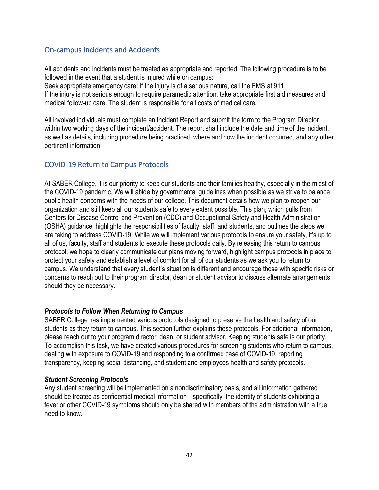## <span id="page-52-0"></span>On-campus Incidents and Accidents

All accidents and incidents must be treated as appropriate and reported. The following procedure is to be followed in the event that a student is injured while on campus:

Seek appropriate emergency care: If the injury is of a serious nature, call the EMS at 911. If the injury is not serious enough to require paramedic attention, take appropriate first aid measures and medical follow-up care. The student is responsible for all costs of medical care.

All involved individuals must complete an Incident Report and submit the form to the Program Director within two working days of the incident/accident. The report shall include the date and time of the incident, as well as details, including procedure being practiced, where and how the incident occurred, and any other pertinent information.

## <span id="page-52-1"></span>COVID-19 Return to Campus Protocols

At SABER College, it is our priority to keep our students and their families healthy, especially in the midst of the COVID-19 pandemic. We will abide by governmental guidelines when possible as we strive to balance public health concerns with the needs of our college. This document details how we plan to reopen our organization and still keep all our students safe to every extent possible. This plan, which pulls from Centers for Disease Control and Prevention (CDC) and Occupational Safety and Health Administration (OSHA) guidance, highlights the responsibilities of faculty, staff, and students, and outlines the steps we are taking to address COVID-19. While we will implement various protocols to ensure your safety, it's up to all of us, faculty, staff and students to execute these protocols daily. By releasing this return to campus protocol, we hope to clearly communicate our plans moving forward, highlight campus protocols in place to protect your safety and establish a level of comfort for all of our students as we ask you to return to campus. We understand that every student's situation is different and encourage those with specific risks or concerns to reach out to their program director, dean or student advisor to discuss alternate arrangements, should they be necessary.

## *Protocols to Follow When Returning to Campus*

SABER College has implemented various protocols designed to preserve the health and safety of our students as they return to campus. This section further explains these protocols. For additional information, please reach out to your program director, dean, or student advisor. Keeping students safe is our priority. To accomplish this task, we have created various procedures for screening students who return to campus, dealing with exposure to COVID-19 and responding to a confirmed case of COVID-19, reporting transparency, keeping social distancing, and student and employees health and safety protocols.

#### *Student Screening Protocols*

Any student screening will be implemented on a nondiscriminatory basis, and all information gathered should be treated as confidential medical information—specifically, the identity of students exhibiting a fever or other COVID-19 symptoms should only be shared with members of the administration with a true need to know.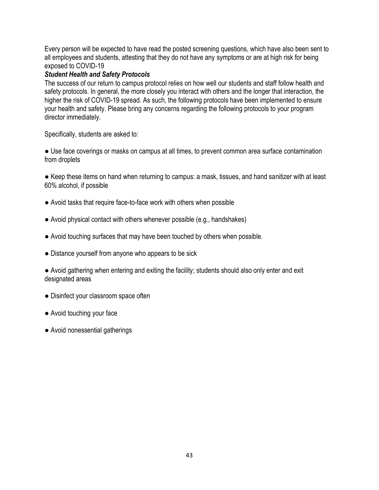Every person will be expected to have read the posted screening questions, which have also been sent to all employees and students, attesting that they do not have any symptoms or are at high risk for being exposed to COVID-19

## *Student Health and Safety Protocols*

The success of our return to campus protocol relies on how well our students and staff follow health and safety protocols. In general, the more closely you interact with others and the longer that interaction, the higher the risk of COVID-19 spread. As such, the following protocols have been implemented to ensure your health and safety. Please bring any concerns regarding the following protocols to your program director immediately.

Specifically, students are asked to:

● Use face coverings or masks on campus at all times, to prevent common area surface contamination from droplets

● Keep these items on hand when returning to campus: a mask, tissues, and hand sanitizer with at least 60% alcohol, if possible

- Avoid tasks that require face-to-face work with others when possible
- Avoid physical contact with others whenever possible (e.g., handshakes)
- Avoid touching surfaces that may have been touched by others when possible.
- Distance yourself from anyone who appears to be sick

● Avoid gathering when entering and exiting the facility; students should also only enter and exit designated areas

- Disinfect your classroom space often
- Avoid touching your face
- Avoid nonessential gatherings